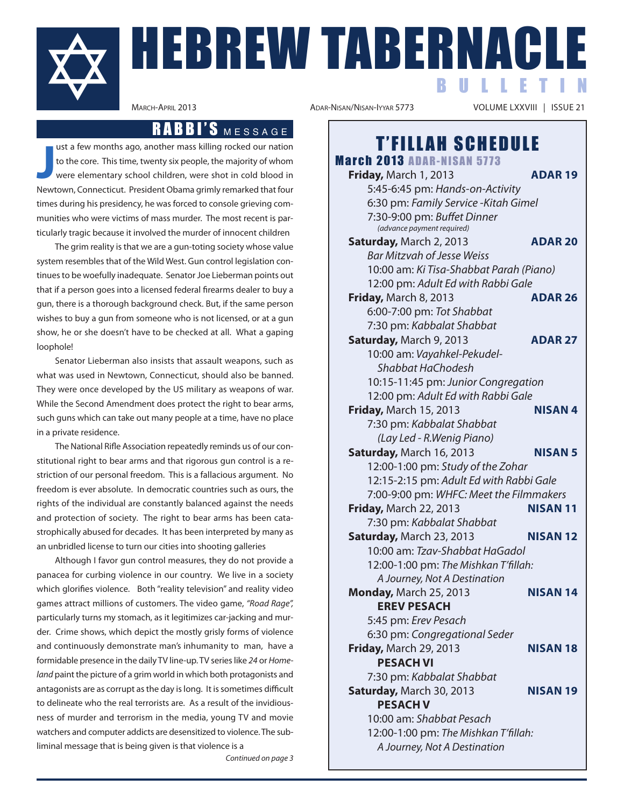

# HEBREW TABERNACLE **BULLETI**

## RABBI'S MESSAGE

**Just a few months ago, another mass killing rocked our nation to the core. This time, twenty six people, the majority of whom were elementary school children, were shot in cold blood in Newtown, Connecticut. President Oba** ust a few months ago, another mass killing rocked our nation to the core. This time, twenty six people, the majority of whom were elementary school children, were shot in cold blood in times during his presidency, he was forced to console grieving communities who were victims of mass murder. The most recent is particularly tragic because it involved the murder of innocent children

The grim reality is that we are a gun-toting society whose value system resembles that of the Wild West. Gun control legislation continues to be woefully inadequate. Senator Joe Lieberman points out that if a person goes into a licensed federal firearms dealer to buy a gun, there is a thorough background check. But, if the same person wishes to buy a gun from someone who is not licensed, or at a gun show, he or she doesn't have to be checked at all. What a gaping loophole!

Senator Lieberman also insists that assault weapons, such as what was used in Newtown, Connecticut, should also be banned. They were once developed by the US military as weapons of war. While the Second Amendment does protect the right to bear arms, such guns which can take out many people at a time, have no place in a private residence.

The National Rifle Association repeatedly reminds us of our constitutional right to bear arms and that rigorous gun control is a restriction of our personal freedom. This is a fallacious argument. No freedom is ever absolute. In democratic countries such as ours, the rights of the individual are constantly balanced against the needs and protection of society. The right to bear arms has been catastrophically abused for decades. It has been interpreted by many as an unbridled license to turn our cities into shooting galleries

Although I favor gun control measures, they do not provide a panacea for curbing violence in our country. We live in a society which glorifies violence. Both "reality television" and reality video games attract millions of customers. The video game, "Road Rage", particularly turns my stomach, as it legitimizes car-jacking and murder. Crime shows, which depict the mostly grisly forms of violence and continuously demonstrate man's inhumanity to man, have a formidable presence in the daily TV line-up. TV series like 24 or Homeland paint the picture of a grim world in which both protagonists and antagonists are as corrupt as the day is long. It is sometimes difficult to delineate who the real terrorists are. As a result of the invidiousness of murder and terrorism in the media, young TV and movie watchers and computer addicts are desensitized to violence. The subliminal message that is being given is that violence is a

Continued on page 3

VOLUME LXXVIII | ISSUE 21

### **T'FILLAH SCHEDULE March 2013 ADAR-NISAN 5773 Friday,** March 1, 2013 **ADAR 19** 5:45-6:45 pm: Hands-on-Activity 6:30 pm: Family Service -Kitah Gimel 7:30-9:00 pm: Buffet Dinner (advance payment required) **Saturday,** March 2, 2013 **ADAR 20**

Bar Mitzvah of Jesse Weiss 10:00 am: Ki Tisa-Shabbat Parah (Piano) 12:00 pm: Adult Ed with Rabbi Gale **Friday,** March 8, 2013 **ADAR 26** 6:00-7:00 pm: Tot Shabbat 7:30 pm: Kabbalat Shabbat **Saturday,** March 9, 2013 **ADAR 27** 10:00 am: Vayahkel-Pekudel-Shabbat HaChodesh 10:15-11:45 pm: Junior Congregation 12:00 pm: Adult Ed with Rabbi Gale **Friday,** March 15, 2013 **NISAN 4** 7:30 pm: Kabbalat Shabbat

(Lay Led - R.Wenig Piano) **Saturday, March 16, 2013 NISAN 5** 12:00-1:00 pm: Study of the Zohar 12:15-2:15 pm: Adult Ed with Rabbi Gale 7:00-9:00 pm: WHFC: Meet the Filmmakers **Friday, March 22, 2013 NISAN 11** 7:30 pm: Kabbalat Shabbat **Saturday, March 23, 2013 <b>NISAN 12** 10:00 am: Tzav-Shabbat HaGadol 12:00-1:00 pm: The Mishkan T'fillah: A Journey, Not A Destination **Monday,** March 25, 2013 **NISAN 14 EREV PESACH** 5:45 pm: Erev Pesach 6:30 pm: Congregational Seder **Friday,** March 29, 2013 **NISAN 18 PESACH VI**

7:30 pm: Kabbalat Shabbat **Saturday, March 30, 2013 NISAN 19 PESACH V** 10:00 am: Shabbat Pesach 12:00-1:00 pm: The Mishkan T'fillah: A Journey, Not A Destination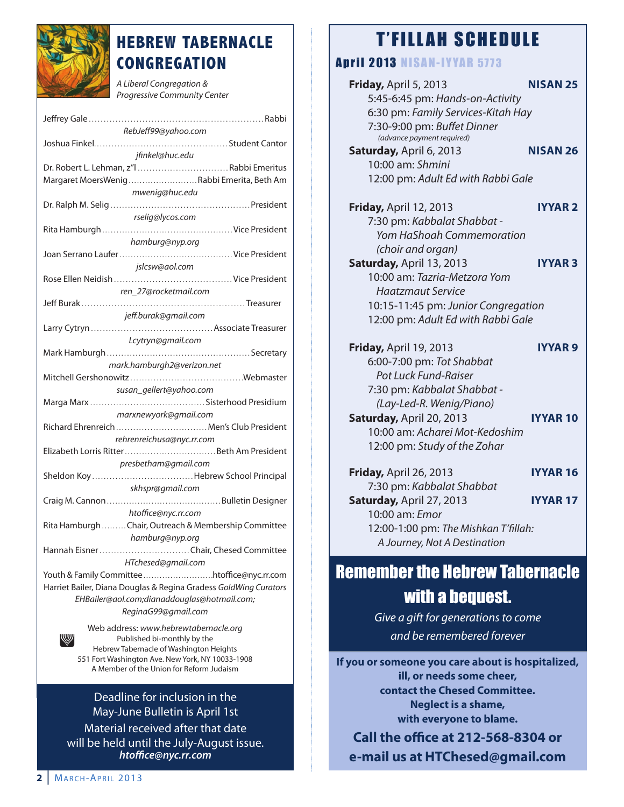

## **HEBREW TABERNACLE CONGREGATION**

A Liberal Congregation & Progressive Community Center

| RebJeff99@yahoo.com                                              |
|------------------------------------------------------------------|
|                                                                  |
| jfinkel@huc.edu                                                  |
| Dr. Robert L. Lehman, z"l Rabbi Emeritus                         |
| Margaret MoersWenigRabbi Emerita, Beth Am                        |
|                                                                  |
| mwenig@huc.edu                                                   |
|                                                                  |
| rselig@lycos.com                                                 |
|                                                                  |
| hamburg@nyp.org                                                  |
|                                                                  |
| jslcsw@aol.com                                                   |
|                                                                  |
|                                                                  |
| ren_27@rocketmail.com                                            |
|                                                                  |
| jeff.burak@gmail.com                                             |
|                                                                  |
| Lcytryn@gmail.com                                                |
|                                                                  |
| mark.hamburgh2@verizon.net                                       |
|                                                                  |
|                                                                  |
| susan_gellert@yahoo.com                                          |
|                                                                  |
| marxnewyork@gmail.com                                            |
| Richard Ehrenreich  Men's Club President                         |
| rehrenreichusa@nyc.rr.com                                        |
|                                                                  |
| presbetham@gmail.com                                             |
| Sheldon KoyHebrew School Principal                               |
|                                                                  |
| skhspr@gmail.com                                                 |
|                                                                  |
| htoffice@nyc.rr.com                                              |
| Rita Hamburgh Chair, Outreach & Membership Committee             |
| hamburg@nyp.org                                                  |
| Hannah Eisner Chair, Chesed Committee                            |
| HTchesed@gmail.com                                               |
|                                                                  |
|                                                                  |
| Harriet Bailer, Diana Douglas & Regina Gradess GoldWing Curators |
| EHBailer@aol.com;dianaddouglas@hotmail.com;                      |
| ReginaG99@gmail.com                                              |
| Web address: www.hebrewtabernacle.org                            |
| W<br>Published bi-monthly by the                                 |

Published bi-monthly by the Hebrew Tabernacle of Washington Heights 551 Fort Washington Ave. New York, NY 10033-1908 A Member of the Union for Reform Judaism

Deadline for inclusion in the May-June Bulletin is April 1st Material received after that date will be held until the July-August issue. *htoce@nyc.rr.com*

# T'FILLAH SCHEDULE

## **April 2013 NISAN-IYYAR 5773**

**Friday,** April 5, 2013 **NISAN 25** 5:45-6:45 pm: Hands-on-Activity 6:30 pm: Family Services-Kitah Hay 7:30-9:00 pm: Buffet Dinner (advance payment required) **Saturday,** April 6, 2013 **NISAN 26** 10:00 am: Shmini 12:00 pm: Adult Ed with Rabbi Gale **Friday,** April 12, 2013 **IYYAR 2** 7:30 pm: Kabbalat Shabbat - Yom HaShoah Commemoration (choir and organ) **Saturday,** April 13, 2013 **IYYAR 3** 10:00 am: Tazria-Metzora Yom Haatzmaut Service 10:15-11:45 pm: Junior Congregation 12:00 pm: Adult Ed with Rabbi Gale **Friday,** April 19, 2013 **IYYAR 9** 6:00-7:00 pm: Tot Shabbat Pot Luck Fund-Raiser 7:30 pm: Kabbalat Shabbat - (Lay-Led-R. Wenig/Piano) **Saturday,** April 20, 2013 **IYYAR 10** 10:00 am: Acharei Mot-Kedoshim 12:00 pm: Study of the Zohar **Friday,** April 26, 2013 **IYYAR 16** 7:30 pm: Kabbalat Shabbat **Saturday,** April 27, 2013 **IYYAR 17** 10:00 am: Emor 12:00-1:00 pm: The Mishkan T'fillah: A Journey, Not A Destination

# Remember the Hebrew Tabernacle with a bequest.

Give a gift for generations to come and be remembered forever

**If you or someone you care about is hospitalized, ill, or needs some cheer, contact the Chesed Committee. Neglect is a shame, with everyone to blame.**

**Call the oBce at 212-568-8304 or e-mail us at HTChesed@gmail.com**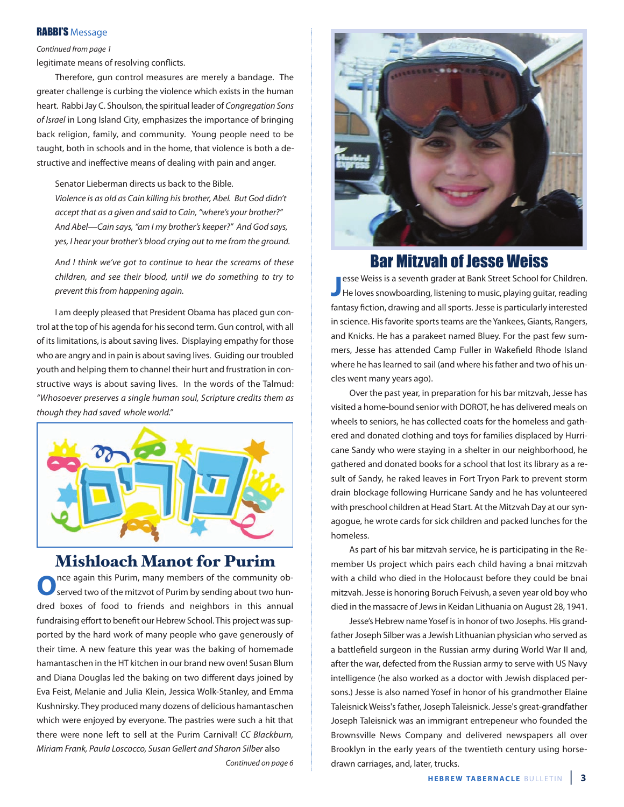### RABBI'S Message

### Continued from page 1

legitimate means of resolving conflicts.

Therefore, gun control measures are merely a bandage. The greater challenge is curbing the violence which exists in the human heart. Rabbi Jay C. Shoulson, the spiritual leader of Congregation Sons of Israel in Long Island City, emphasizes the importance of bringing back religion, family, and community. Young people need to be taught, both in schools and in the home, that violence is both a destructive and ineffective means of dealing with pain and anger.

Senator Lieberman directs us back to the Bible.

Violence is as old as Cain killing his brother, Abel. But God didn't accept that as a given and said to Cain, "where's your brother?" And Abel—Cain says, "am I my brother's keeper?" And God says, yes, I hear your brother's blood crying out to me from the ground.

And I think we've got to continue to hear the screams of these children, and see their blood, until we do something to try to prevent this from happening again.

I am deeply pleased that President Obama has placed gun control at the top of his agenda for his second term. Gun control, with all of its limitations, is about saving lives. Displaying empathy for those who are angry and in pain is about saving lives. Guiding our troubled youth and helping them to channel their hurt and frustration in constructive ways is about saving lives. In the words of the Talmud: "Whosoever preserves a single human soul, Scripture credits them as though they had saved whole world."



# **Mishloach Manot for Purim**<br>ance again this Purim, many members of the community ob-

**O**nce again this Purim, many members of the community observed two of the mitzvot of Purim by sending about two hundred boxes of food to friends and neighbors in this annual fundraising effort to benefit our Hebrew School. This project was supported by the hard work of many people who gave generously of their time. A new feature this year was the baking of homemade hamantaschen in the HT kitchen in our brand new oven! Susan Blum and Diana Douglas led the baking on two different days joined by Eva Feist, Melanie and Julia Klein, Jessica Wolk-Stanley, and Emma Kushnirsky. They produced many dozens of delicious hamantaschen which were enjoyed by everyone. The pastries were such a hit that there were none left to sell at the Purim Carnival! CC Blackburn, Miriam Frank, Paula Loscocco, Susan Gellert and Sharon Silber also

Continued on page 6



## Bar Mitzvah of Jesse Weiss

**J** esse Weiss is a seventh grader at Bank Street School for Children.<br>He loves snowboarding, listening to music, playing guitar, reading esse Weiss is a seventh grader at Bank Street School for Children. fantasy fiction, drawing and all sports. Jesse is particularly interested in science. His favorite sports teams are the Yankees, Giants, Rangers, and Knicks. He has a parakeet named Bluey. For the past few summers, Jesse has attended Camp Fuller in Wakefield Rhode Island where he has learned to sail (and where his father and two of his uncles went many years ago).

Over the past year, in preparation for his bar mitzvah, Jesse has visited a home-bound senior with DOROT, he has delivered meals on wheels to seniors, he has collected coats for the homeless and gathered and donated clothing and toys for families displaced by Hurricane Sandy who were staying in a shelter in our neighborhood, he gathered and donated books for a school that lost its library as a result of Sandy, he raked leaves in Fort Tryon Park to prevent storm drain blockage following Hurricane Sandy and he has volunteered with preschool children at Head Start. At the Mitzvah Day at our synagogue, he wrote cards for sick children and packed lunches for the homeless.

As part of his bar mitzvah service, he is participating in the Remember Us project which pairs each child having a bnai mitzvah with a child who died in the Holocaust before they could be bnai mitzvah. Jesse is honoring Boruch Feivush, a seven year old boy who died in the massacre of Jews in Keidan Lithuania on August 28, 1941.

Jesse's Hebrew name Yosef is in honor of two Josephs. His grandfather Joseph Silber was a Jewish Lithuanian physician who served as a battlefield surgeon in the Russian army during World War II and, after the war, defected from the Russian army to serve with US Navy intelligence (he also worked as a doctor with Jewish displaced persons.) Jesse is also named Yosef in honor of his grandmother Elaine Taleisnick Weiss's father, Joseph Taleisnick. Jesse's great-grandfather Joseph Taleisnick was an immigrant entrepeneur who founded the Brownsville News Company and delivered newspapers all over Brooklyn in the early years of the twentieth century using horsedrawn carriages, and, later, trucks.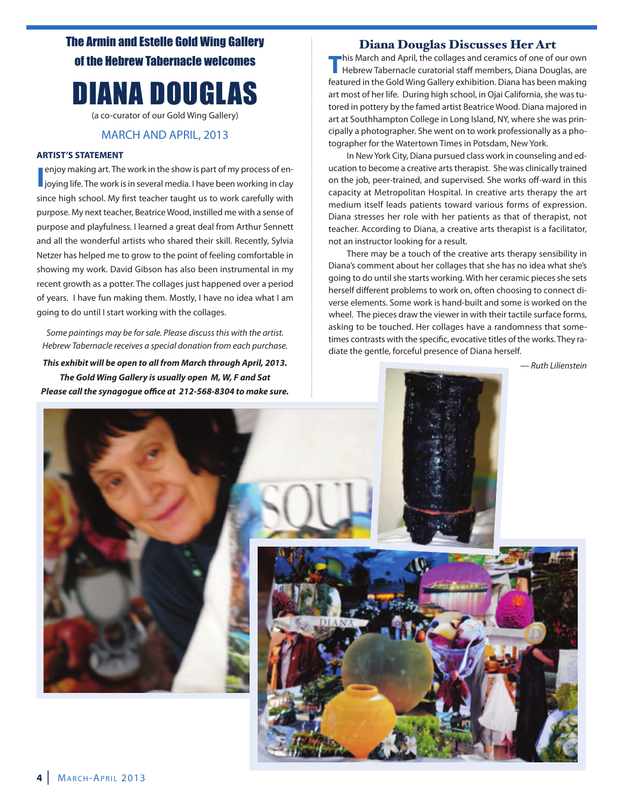The Armin and Estelle Gold Wing Gallery of the Hebrew Tabernacle welcomes

# DIANA DOUGLAS

(a co-curator of our Gold Wing Gallery)

### MARCH AND APRIL, 2013

### **ARTIST'S STATEMENT**

**I** enjoy making art. The work in the show is part of my process of enjoying life. The work is in several media. I have been working in clay enjoy making art. The work in the show is part of my process of ensince high school. My first teacher taught us to work carefully with purpose. My next teacher, Beatrice Wood, instilled me with a sense of purpose and playfulness. I learned a great deal from Arthur Sennett and all the wonderful artists who shared their skill. Recently, Sylvia Netzer has helped me to grow to the point of feeling comfortable in showing my work. David Gibson has also been instrumental in my recent growth as a potter. The collages just happened over a period of years. I have fun making them. Mostly, I have no idea what I am going to do until I start working with the collages.

Some paintings may be for sale. Please discuss this with the artist. Hebrew Tabernacle receives a special donation from each purchase.

*This exhibit will be open to all from March through April, 2013. The Gold Wing Gallery is usually open M, W, F and Sat* Please call the synagogue office at 212-568-8304 to make sure.

# **Diana Douglas Discusses Her Art**<br>This March and April, the collages and ceramics of one of our own

**This March and April, the collages and ceramics of one of our own**<br>Hebrew Tabernacle curatorial staff members, Diana Douglas, are featured in the Gold Wing Gallery exhibition. Diana has been making art most of her life. During high school, in Ojai California, she was tutored in pottery by the famed artist Beatrice Wood. Diana majored in art at Southhampton College in Long Island, NY, where she was principally a photographer. She went on to work professionally as a photographer for the Watertown Times in Potsdam, New York.

In New York City, Diana pursued class work in counseling and education to become a creative arts therapist. She was clinically trained on the job, peer-trained, and supervised. She works off-ward in this capacity at Metropolitan Hospital. In creative arts therapy the art medium itself leads patients toward various forms of expression. Diana stresses her role with her patients as that of therapist, not teacher. According to Diana, a creative arts therapist is a facilitator, not an instructor looking for a result.

There may be a touch of the creative arts therapy sensibility in Diana's comment about her collages that she has no idea what she's going to do until she starts working. With her ceramic pieces she sets herself different problems to work on, often choosing to connect diverse elements. Some work is hand-built and some is worked on the wheel. The pieces draw the viewer in with their tactile surface forms, asking to be touched. Her collages have a randomness that sometimes contrasts with the specific, evocative titles of the works. They radiate the gentle, forceful presence of Diana herself.

— Ruth Lilienstein

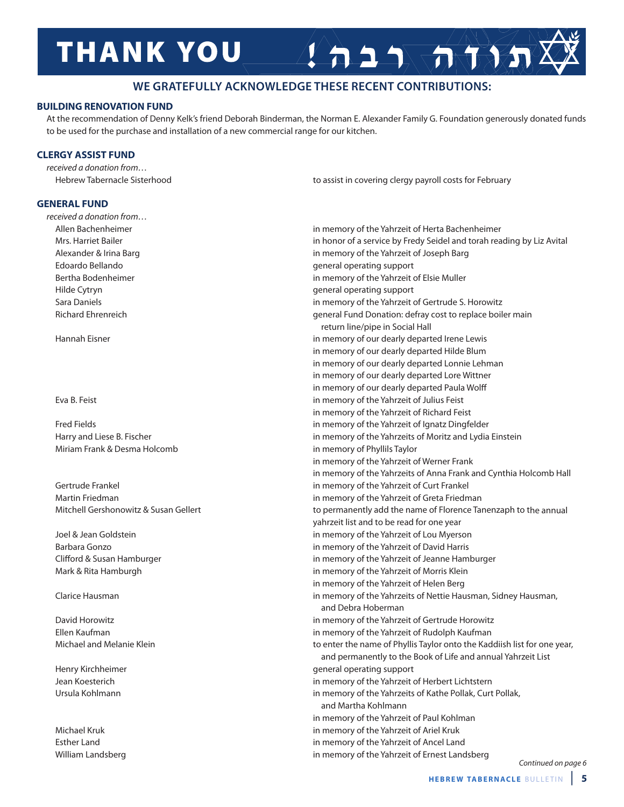# **THANK YOU**

### **WE GRATEFULLY ACKNOWLEDGE THESE RECENT CONTRIBUTIONS:**

### **BUILDING RENOVATION FUND**

At the recommendation of Denny Kelk's friend Deborah Binderman, the Norman E. Alexander Family G. Foundation generously donated funds to be used for the purchase and installation of a new commercial range for our kitchen.

### **CLERGY ASSIST FUND**

received a donation from…

### **GENERAL FUND**

received a donation from…

Miriam Frank & Desma Holcomb in memory of Phyllils Taylor

Hebrew Tabernacle Sisterhood **to assist in covering clergy payroll costs for February** to assist in covering clergy payroll costs for February

 $2525777777$ 

Allen Bachenheimer in memory of the Yahrzeit of Herta Bachenheimer Mrs. Harriet Bailer in honor of a service by Fredy Seidel and torah reading by Liz Avital Alexander & Irina Barg in memory of the Yahrzeit of Joseph Barg in memory of the Yahrzeit of Joseph Barg Edoardo Bellando general operating support Bertha Bodenheimer **in memory of the Yahrzeit of Elsie Muller** in memory of the Yahrzeit of Elsie Muller Hilde Cytryn general operating support Sara Daniels in memory of the Yahrzeit of Gertrude S. Horowitz Richard Ehrenreich general Fund Donation: defray cost to replace boiler main return line/pipe in Social Hall Hannah Eisner in memory of our dearly departed Irene Lewis in memory of our dearly departed Hilde Blum in memory of our dearly departed Lonnie Lehman in memory of our dearly departed Lore Wittner in memory of our dearly departed Paula Wolff Eva B. Feist in memory of the Yahrzeit of Julius Feist in memory of the Yahrzeit of Richard Feist Fred Fields in memory of the Yahrzeit of Ignatz Dingfelder Harry and Liese B. Fischer in memory of the Yahrzeits of Moritz and Lydia Einstein in memory of the Yahrzeit of Werner Frank in memory of the Yahrzeits of Anna Frank and Cynthia Holcomb Hall Gertrude Frankel in memory of the Yahrzeit of Curt Frankel Martin Friedman in memory of the Yahrzeit of Greta Friedman Mitchell Gershonowitz & Susan Gellert **the interval of the name of Florence Tanenzaph to the annual** yahrzeit list and to be read for one year Joel & Jean Goldstein in memory of the Yahrzeit of Lou Myerson Barbara Gonzo in memory of the Yahrzeit of David Harris Clifford & Susan Hamburger in memory of the Yahrzeit of Jeanne Hamburger in memory of the Yahrzeit of Jeanne Hamburger Mark & Rita Hamburgh in memory of the Yahrzeit of Morris Klein in memory of the Yahrzeit of Helen Berg Clarice Hausman in memory of the Yahrzeits of Nettie Hausman, Sidney Hausman, and Debra Hoberman David Horowitz in memory of the Yahrzeit of Gertrude Horowitz Ellen Kaufman in memory of the Yahrzeit of Rudolph Kaufman Michael and Melanie Klein to enter the name of Phyllis Taylor onto the Kaddiish list for one year, and permanently to the Book of Life and annual Yahrzeit List Henry Kirchheimer general operating support Jean Koesterich in memory of the Yahrzeit of Herbert Lichtstern Ursula Kohlmann in memory of the Yahrzeits of Kathe Pollak, Curt Pollak, Curt Pollak, and Martha Kohlmann in memory of the Yahrzeit of Paul Kohlman Michael Kruk in memory of the Yahrzeit of Ariel Kruk Esther Land in memory of the Yahrzeit of Ancel Land William Landsberg in memory of the Yahrzeit of Ernest Landsberg in memory of the Yahrzeit of Ernest Landsberg

Continued on page 6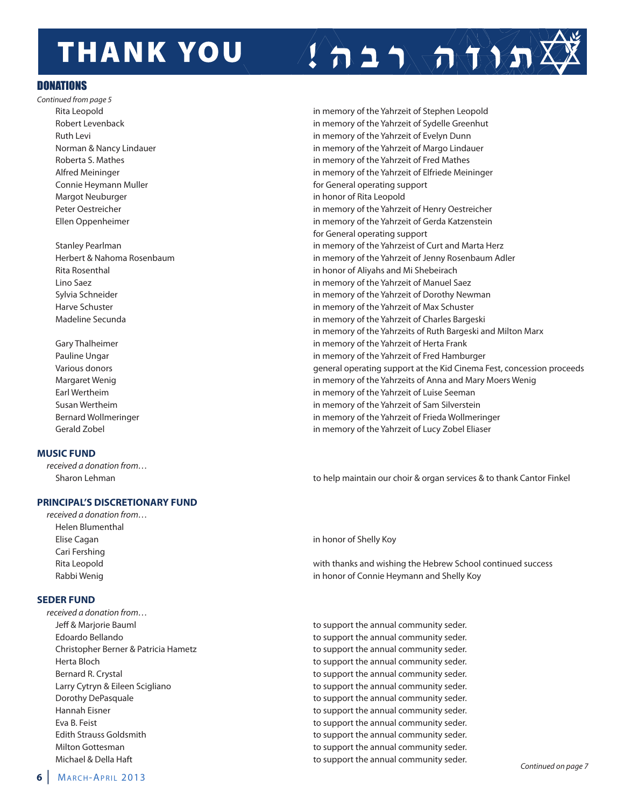# **THANK YOU**

### **DONATIONS**

- Continued from page 5 Margot Neuburger in honor of Rita Leopold
	-
	-

### **MUSIC FUND**

received a donation from…

### **PRINCIPAL'S DISCRETIONARY FUND**

received a donation from… Helen Blumenthal Elise Cagan in honor of Shelly Koy Cari Fershing

### **SEDER FUND**

received a donation from…

Rita Leopold in memory of the Yahrzeit of Stephen Leopold Robert Levenback in memory of the Yahrzeit of Sydelle Greenhut Ruth Levi in memory of the Yahrzeit of Evelyn Dunn Norman & Nancy Lindauer in memory of the Yahrzeit of Margo Lindauer Roberta S. Mathes in memory of the Yahrzeit of Fred Mathes Alfred Meininger in memory of the Yahrzeit of Elfriede Meininger Connie Heymann Muller for General operating support Peter Oestreicher in memory of the Yahrzeit of Henry Oestreicher Ellen Oppenheimer in memory of the Yahrzeit of Gerda Katzenstein for General operating support Stanley Pearlman in memory of the Yahrzeist of Curt and Marta Herz Herbert & Nahoma Rosenbaum in memory of the Yahrzeit of Jenny Rosenbaum Adler Rita Rosenthal in honor of Aliyahs and Mi Shebeirach Lino Saez in memory of the Yahrzeit of Manuel Saez Sylvia Schneider in memory of the Yahrzeit of Dorothy Newman Harve Schuster in memory of the Yahrzeit of Max Schuster Madeline Secunda in memory of the Yahrzeit of Charles Bargeski in memory of the Yahrzeits of Ruth Bargeski and Milton Marx Gary Thalheimer **in the Value of the Yahrzeit of Herta Frank** in memory of the Yahrzeit of Herta Frank Pauline Ungar **in memory of the Yahrzeit of Fred Hamburger** in memory of the Yahrzeit of Fred Hamburger Various donors general operating support at the Kid Cinema Fest, concession proceeds Margaret Wenig in memory of the Yahrzeits of Anna and Mary Moers Wenig Earl Wertheim in memory of the Yahrzeit of Luise Seeman Susan Wertheim in memory of the Yahrzeit of Sam Silverstein Bernard Wollmeringer in memory of the Yahrzeit of Frieda Wollmeringer in memory of the Yahrzeit of Frieda Wollmeringer Gerald Zobel in memory of the Yahrzeit of Lucy Zobel Eliaser

 $2 + 1 - 5 - 5 - 8 - 5$ 

Sharon Lehman to help maintain our choir & organ services & to thank Cantor Finkel

Rita Leopold with thanks and wishing the Hebrew School continued success Rabbi Wenig **in honor of Connie Heymann and Shelly Koy** 

Jeff & Marjorie Bauml **business and the support of the annual community seder.** Edoardo Bellando to support the annual community seder. Christopher Berner & Patricia Hametz to support the annual community seder. Herta Bloch to support the annual community seder. Bernard R. Crystal to support the annual community seder. Larry Cytryn & Eileen Scigliano to support the annual community seder. Dorothy DePasquale **to support the annual community seder.** The support of the annual community seder. Hannah Eisner to support the annual community seder. Eva B. Feist to support the annual community seder. Edith Strauss Goldsmith to support the annual community seder. Milton Gottesman to support the annual community seder. Michael & Della Haft **the support the annual community seder**.<br>Continued on page 7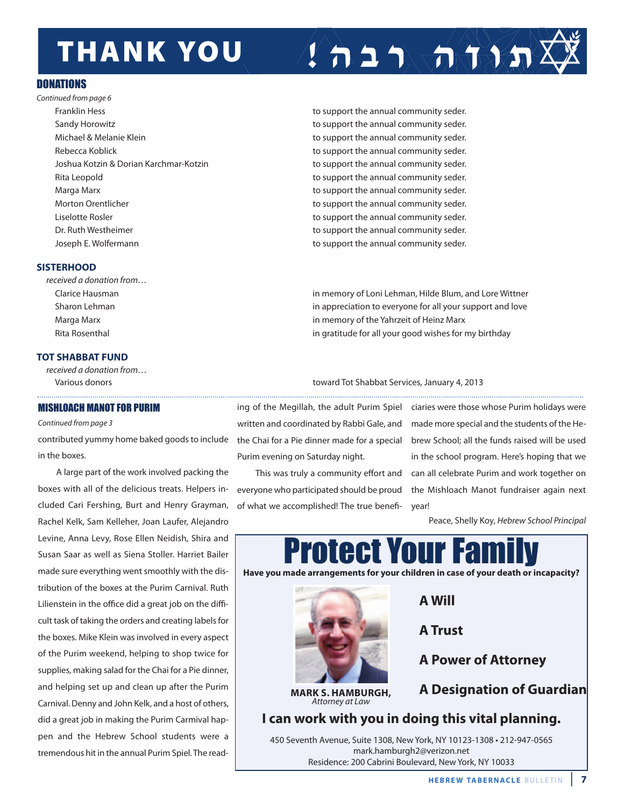# **THANK YOU**

### **DONATIONS**

Continued from page 6 Franklin Hess to support the annual community seder. Sandy Horowitz **the support of the annual community seder.** The support the annual community seder. Michael & Melanie Klein to support the annual community seder. Rebecca Koblick to support the annual community seder. Joshua Kotzin & Dorian Karchmar-Kotzin to support the annual community seder. Rita Leopold to support the annual community seder. Marga Marx to support the annual community seder. Morton Orentlicher to support the annual community seder. Liselotte Rosler to support the annual community seder. Dr. Ruth Westheimer to support the annual community seder. Joseph E. Wolfermann to support the annual community seder.

### **SISTERHOOD**

received a donation from…

### **TOT SHABBAT FUND**

received a donation from…

### MISHLOACH MANOT FOR PURIM

Continued from page 3

contributed yummy home baked goods to include the Chai for a Pie dinner made for a special brew School; all the funds raised will be used in the boxes.

A large part of the work involved packing the boxes with all of the delicious treats. Helpers included Cari Fershing, Burt and Henry Grayman, Rachel Kelk, Sam Kelleher, Joan Laufer, Alejandro Levine, Anna Levy, Rose Ellen Neidish, Shira and Susan Saar as well as Siena Stoller. Harriet Bailer made sure everything went smoothly with the distribution of the boxes at the Purim Carnival. Ruth Lilienstein in the office did a great job on the difficult task of taking the orders and creating labels for the boxes. Mike Klein was involved in every aspect of the Purim weekend, helping to shop twice for supplies, making salad for the Chai for a Pie dinner, and helping set up and clean up after the Purim Carnival. Denny and John Kelk, and a host of others, did a great job in making the Purim Carmival happen and the Hebrew School students were a tremendous hit in the annual Purim Spiel. The read-

Clarice Hausman in memory of Loni Lehman, Hilde Blum, and Lore Wittner Sharon Lehman in appreciation to everyone for all your support and love Marga Marx in memory of the Yahrzeit of Heinz Marx Rita Rosenthal in gratitude for all your good wishes for my birthday

 $1 + 1 + \pi$ 

Various donors toward Tot Shabbat Services, January 4, 2013

written and coordinated by Rabbi Gale, and Purim evening on Saturday night.

This was truly a community effort and everyone who participated should be proud of what we accomplished! The true benefi-

ing of the Megillah, the adult Purim Spiel ciaries were those whose Purim holidays were made more special and the students of the Hein the school program. Here's hoping that we can all celebrate Purim and work together on the Mishloach Manot fundraiser again next year!

Peace, Shelly Koy, Hebrew School Principal



**HEBREW TABERNACLE BULLETIN 7**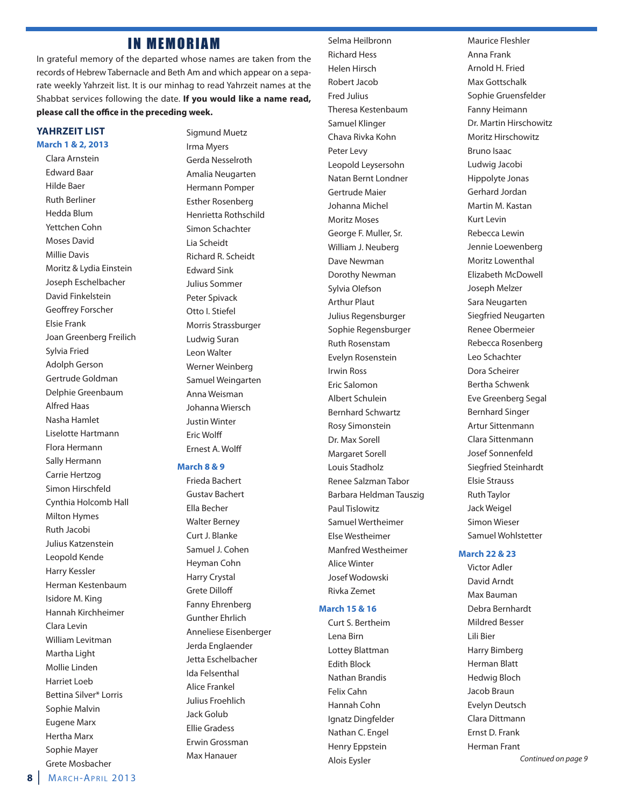### **IN MEMORIAM**

In grateful memory of the departed whose names are taken from the records of Hebrew Tabernacle and Beth Am and which appear on a separate weekly Yahrzeit list. It is our minhag to read Yahrzeit names at the Shabbat services following the date. **If you would like a name read,** please call the office in the preceding week.

### **YAHRZEIT LIST March 1 & 2, 2013**

Clara Arnstein Edward Baar Hilde Baer Ruth Berliner Hedda Blum Yettchen Cohn Moses David Millie Davis Moritz & Lydia Einstein Joseph Eschelbacher David Finkelstein Geoffrey Forscher Elsie Frank Joan Greenberg Freilich Sylvia Fried Adolph Gerson Gertrude Goldman Delphie Greenbaum Alfred Haas Nasha Hamlet Liselotte Hartmann Flora Hermann Sally Hermann Carrie Hertzog Simon Hirschfeld Cynthia Holcomb Hall Milton Hymes Ruth Jacobi Julius Katzenstein Leopold Kende Harry Kessler Herman Kestenbaum Isidore M. King Hannah Kirchheimer Clara Levin William Levitman Martha Light Mollie Linden Harriet Loeb Bettina Silver\* Lorris Sophie Malvin Eugene Marx Hertha Marx Sophie Mayer

Sigmund Muetz Irma Myers Gerda Nesselroth Amalia Neugarten Hermann Pomper Esther Rosenberg Henrietta Rothschild Simon Schachter Lia Scheidt Richard R. Scheidt Edward Sink Julius Sommer Peter Spivack Otto I. Stiefel Morris Strassburger Ludwig Suran Leon Walter Werner Weinberg Samuel Weingarten Anna Weisman Johanna Wiersch Justin Winter Eric Wolff Ernest A. Wolff

### **March 8 & 9**

Frieda Bachert Gustav Bachert Ella Becher Walter Berney Curt J. Blanke Samuel J. Cohen Heyman Cohn Harry Crystal Grete Dilloff Fanny Ehrenberg Gunther Ehrlich Anneliese Eisenberger Jerda Englaender Jetta Eschelbacher Ida Felsenthal Alice Frankel Julius Froehlich Jack Golub Ellie Gradess Erwin Grossman Max Hanauer

Selma Heilbronn Richard Hess Helen Hirsch Robert Jacob Fred Julius Theresa Kestenbaum Samuel Klinger Chava Rivka Kohn Peter Levy Leopold Leysersohn Natan Bernt Londner Gertrude Maier Johanna Michel Moritz Moses George F. Muller, Sr. William J. Neuberg Dave Newman Dorothy Newman Sylvia Olefson Arthur Plaut Julius Regensburger Sophie Regensburger Ruth Rosenstam Evelyn Rosenstein Irwin Ross Eric Salomon Albert Schulein Bernhard Schwartz Rosy Simonstein Dr. Max Sorell Margaret Sorell Louis Stadholz Renee Salzman Tabor Barbara Heldman Tauszig Paul Tislowitz Samuel Wertheimer Else Westheimer Manfred Westheimer Alice Winter Josef Wodowski Rivka Zemet

### **March 15 & 16**

Curt S. Bertheim Lena Birn Lottey Blattman Edith Block Nathan Brandis Felix Cahn Hannah Cohn Ignatz Dingfelder Nathan C. Engel Henry Eppstein Alois Eysler

Maurice Fleshler Anna Frank Arnold H. Fried Max Gottschalk Sophie Gruensfelder Fanny Heimann Dr. Martin Hirschowitz Moritz Hirschowitz Bruno Isaac Ludwig Jacobi Hippolyte Jonas Gerhard Jordan Martin M. Kastan Kurt Levin Rebecca Lewin Jennie Loewenberg Moritz Lowenthal Elizabeth McDowell Joseph Melzer Sara Neugarten Siegfried Neugarten Renee Obermeier Rebecca Rosenberg Leo Schachter Dora Scheirer Bertha Schwenk Eve Greenberg Segal Bernhard Singer Artur Sittenmann Clara Sittenmann Josef Sonnenfeld Siegfried Steinhardt Elsie Strauss Ruth Taylor Jack Weigel Simon Wieser Samuel Wohlstetter

### **March 22 & 23**

Victor Adler David Arndt Max Bauman Debra Bernhardt Mildred Besser Lili Bier Harry Bimberg Herman Blatt Hedwig Bloch Jacob Braun Evelyn Deutsch Clara Dittmann Ernst D. Frank Herman Frant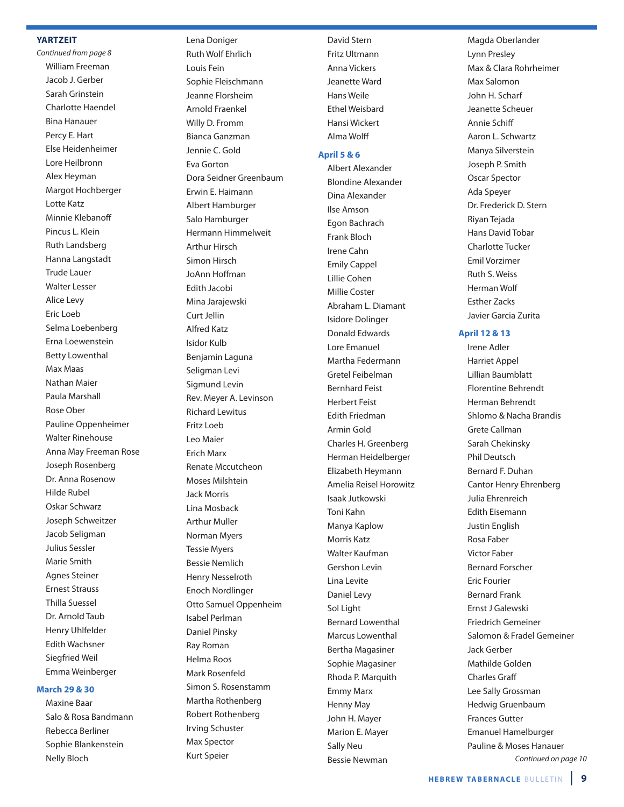### **YARTZEIT**

Continued from page 8 William Freeman Jacob J. Gerber Sarah Grinstein Charlotte Haendel Bina Hanauer Percy E. Hart Else Heidenheimer Lore Heilbronn Alex Heyman Margot Hochberger Lotte Katz Minnie Klebanoff Pincus L. Klein Ruth Landsberg Hanna Langstadt Trude Lauer Walter Lesser Alice Levy Eric Loeb Selma Loebenberg Erna Loewenstein Betty Lowenthal Max Maas Nathan Maier Paula Marshall Rose Ober Pauline Oppenheimer Walter Rinehouse Anna May Freeman Rose Joseph Rosenberg Dr. Anna Rosenow Hilde Rubel Oskar Schwarz Joseph Schweitzer Jacob Seligman Julius Sessler Marie Smith Agnes Steiner Ernest Strauss Thilla Suessel Dr. Arnold Taub Henry Uhlfelder Edith Wachsner Siegfried Weil Emma Weinberger

### **March 29 & 30**

Maxine Baar Salo & Rosa Bandmann Rebecca Berliner Sophie Blankenstein Nelly Bloch

Ruth Wolf Ehrlich Louis Fein Sophie Fleischmann Jeanne Florsheim Arnold Fraenkel Willy D. Fromm Bianca Ganzman Jennie C. Gold Eva Gorton Dora Seidner Greenbaum Erwin E. Haimann Albert Hamburger Salo Hamburger Hermann Himmelweit Arthur Hirsch Simon Hirsch JoAnn Hoffman Edith Jacobi Mina Jarajewski Curt Jellin Alfred Katz Isidor Kulb Benjamin Laguna Seligman Levi Sigmund Levin Rev. Meyer A. Levinson Richard Lewitus Fritz Loeb Leo Maier Erich Marx Renate Mccutcheon Moses Milshtein Jack Morris Lina Mosback Arthur Muller Norman Myers Tessie Myers Bessie Nemlich Henry Nesselroth Enoch Nordlinger Otto Samuel Oppenheim Isabel Perlman Daniel Pinsky Ray Roman Helma Roos Mark Rosenfeld Simon S. Rosenstamm Martha Rothenberg Robert Rothenberg Irving Schuster Max Spector Kurt Speier

Lena Doniger

David Stern Fritz Ultmann Anna Vickers Jeanette Ward Hans Weile Ethel Weisbard Hansi Wickert Alma Wolff

### **April 5 & 6**

Albert Alexander Blondine Alexander Dina Alexander Ilse Amson Egon Bachrach Frank Bloch Irene Cahn Emily Cappel Lillie Cohen Millie Coster Abraham L. Diamant Isidore Dolinger Donald Edwards Lore Emanuel Martha Federmann Gretel Feibelman Bernhard Feist Herbert Feist Edith Friedman Armin Gold Charles H. Greenberg Herman Heidelberger Elizabeth Heymann Amelia Reisel Horowitz Isaak Jutkowski Toni Kahn Manya Kaplow Morris Katz Walter Kaufman Gershon Levin Lina Levite Daniel Levy Sol Light Bernard Lowenthal Marcus Lowenthal Bertha Magasiner Sophie Magasiner Rhoda P. Marquith Emmy Marx Henny May John H. Mayer Marion E. Mayer Sally Neu Bessie Newman

Magda Oberlander Lynn Presley Max & Clara Rohrheimer Max Salomon John H. Scharf Jeanette Scheuer Annie Schiff Aaron L. Schwartz Manya Silverstein Joseph P. Smith Oscar Spector Ada Speyer Dr. Frederick D. Stern Riyan Tejada Hans David Tobar Charlotte Tucker Emil Vorzimer Ruth S. Weiss Herman Wolf Esther Zacks Javier Garcia Zurita

### **April 12 & 13**

Irene Adler Harriet Appel Lillian Baumblatt Florentine Behrendt Herman Behrendt Shlomo & Nacha Brandis Grete Callman Sarah Chekinsky Phil Deutsch Bernard F. Duhan Cantor Henry Ehrenberg Julia Ehrenreich Edith Eisemann Justin English Rosa Faber Victor Faber Bernard Forscher Eric Fourier Bernard Frank Ernst J Galewski Friedrich Gemeiner Salomon & Fradel Gemeiner Jack Gerber Mathilde Golden Charles Graff Lee Sally Grossman Hedwig Gruenbaum Frances Gutter Emanuel Hamelburger Pauline & Moses Hanauer Continued on page 10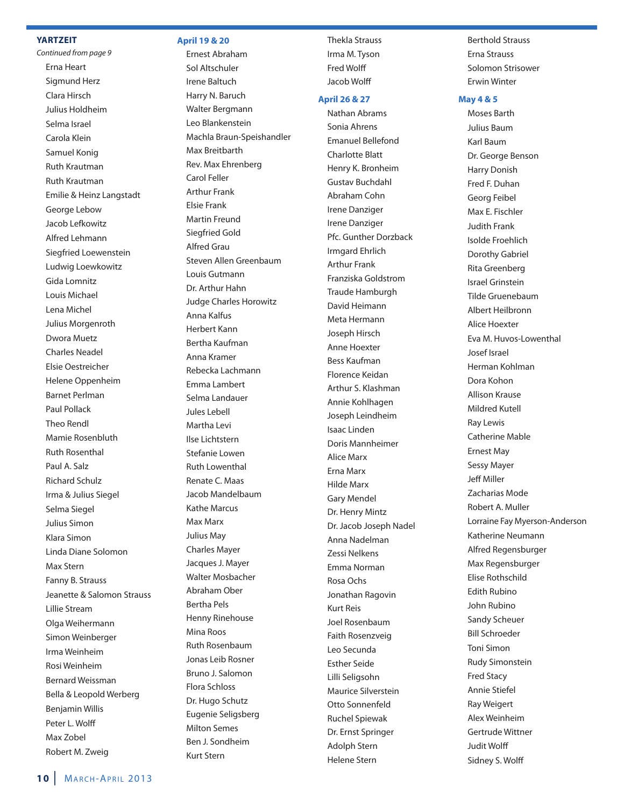### **YARTZEIT**

Continued from page 9 Erna Heart Sigmund Herz Clara Hirsch Julius Holdheim Selma Israel Carola Klein Samuel Konig Ruth Krautman Ruth Krautman Emilie & Heinz Langstadt George Lebow Jacob Lefkowitz Alfred Lehmann Siegfried Loewenstein Ludwig Loewkowitz Gida Lomnitz Louis Michael Lena Michel Julius Morgenroth Dwora Muetz Charles Neadel Elsie Oestreicher Helene Oppenheim Barnet Perlman Paul Pollack Theo Rendl Mamie Rosenbluth Ruth Rosenthal Paul A. Salz Richard Schulz Irma & Julius Siegel Selma Siegel Julius Simon Klara Simon Linda Diane Solomon Max Stern Fanny B. Strauss Jeanette & Salomon Strauss Lillie Stream Olga Weihermann Simon Weinberger Irma Weinheim Rosi Weinheim Bernard Weissman Bella & Leopold Werberg Benjamin Willis Peter L. Wolff Max Zobel Robert M. Zweig

### **April 19 & 20**

Ernest Abraham Sol Altschuler Irene Baltuch Harry N. Baruch Walter Bergmann Leo Blankenstein Machla Braun-Speishandler Max Breitbarth Rev. Max Ehrenberg Carol Feller Arthur Frank Elsie Frank Martin Freund Siegfried Gold Alfred Grau Steven Allen Greenbaum Louis Gutmann Dr. Arthur Hahn Judge Charles Horowitz Anna Kalfus Herbert Kann Bertha Kaufman Anna Kramer Rebecka Lachmann Emma Lambert Selma Landauer Jules Lebell Martha Levi Ilse Lichtstern Stefanie Lowen Ruth Lowenthal Renate C. Maas Jacob Mandelbaum Kathe Marcus Max Marx Julius May Charles Mayer Jacques J. Mayer Walter Mosbacher Abraham Ober Bertha Pels Henny Rinehouse Mina Roos Ruth Rosenbaum Jonas Leib Rosner Bruno J. Salomon Flora Schloss Dr. Hugo Schutz Eugenie Seligsberg Milton Semes Ben J. Sondheim Kurt Stern

Thekla Strauss Irma M. Tyson **Fred Wolff** Jacob Wolff

### **April 26 & 27**

Nathan Abrams Sonia Ahrens Emanuel Bellefond Charlotte Blatt Henry K. Bronheim Gustav Buchdahl Abraham Cohn Irene Danziger Irene Danziger Pfc. Gunther Dorzback Irmgard Ehrlich Arthur Frank Franziska Goldstrom Traude Hamburgh David Heimann Meta Hermann Joseph Hirsch Anne Hoexter Bess Kaufman Florence Keidan Arthur S. Klashman Annie Kohlhagen Joseph Leindheim Isaac Linden Doris Mannheimer Alice Marx Erna Marx Hilde Marx Gary Mendel Dr. Henry Mintz Dr. Jacob Joseph Nadel Anna Nadelman Zessi Nelkens Emma Norman Rosa Ochs Jonathan Ragovin Kurt Reis Joel Rosenbaum Faith Rosenzveig Leo Secunda Esther Seide Lilli Seligsohn Maurice Silverstein Otto Sonnenfeld Ruchel Spiewak Dr. Ernst Springer Adolph Stern Helene Stern

Berthold Strauss Erna Strauss Solomon Strisower Erwin Winter

### **May 4 & 5**

Moses Barth Julius Baum Karl Baum Dr. George Benson Harry Donish Fred F. Duhan Georg Feibel Max E. Fischler Judith Frank Isolde Froehlich Dorothy Gabriel Rita Greenberg Israel Grinstein Tilde Gruenebaum Albert Heilbronn Alice Hoexter Eva M. Huvos-Lowenthal Josef Israel Herman Kohlman Dora Kohon Allison Krause Mildred Kutell Ray Lewis Catherine Mable Ernest May Sessy Mayer **Jeff Miller** Zacharias Mode Robert A. Muller Lorraine Fay Myerson-Anderson Katherine Neumann Alfred Regensburger Max Regensburger Elise Rothschild Edith Rubino John Rubino Sandy Scheuer Bill Schroeder Toni Simon Rudy Simonstein Fred Stacy Annie Stiefel Ray Weigert Alex Weinheim Gertrude Wittner Judit Wolff Sidney S. Wolff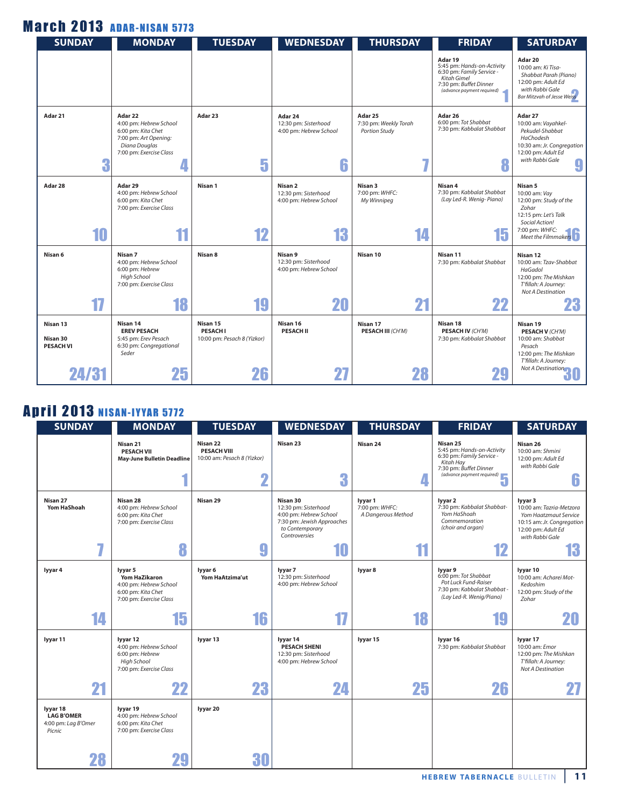## **March 2013 ADAR-NISAN 5773**

| <b>SUNDAY</b>                                     | <b>MONDAY</b>                                                                                                                | <b>TUESDAY</b>                                                  | <b>WEDNESDAY</b>                                                | <b>THURSDAY</b>                                               | <b>FRIDAY</b>                                                                                                                             | <b>SATURDAY</b>                                                                                                                                             |
|---------------------------------------------------|------------------------------------------------------------------------------------------------------------------------------|-----------------------------------------------------------------|-----------------------------------------------------------------|---------------------------------------------------------------|-------------------------------------------------------------------------------------------------------------------------------------------|-------------------------------------------------------------------------------------------------------------------------------------------------------------|
|                                                   |                                                                                                                              |                                                                 |                                                                 |                                                               | Adar 19<br>5:45 pm: Hands-on-Activity<br>6:30 pm: Family Service -<br>Kitah Gimel<br>7:30 pm: Buffet Dinner<br>(advance payment required) | Adar 20<br>10:00 am: Ki Tisa-<br>Shabbat Parah (Piano)<br>12:00 pm: Adult Ed<br>with Rabbi Gale<br><b>Bar Mitzvah of Jesse Weiss</b>                        |
| Adar 21<br>3                                      | Adar 22<br>4:00 pm: Hebrew School<br>6:00 pm: Kita Chet<br>7:00 pm: Art Opening:<br>Diana Douglas<br>7:00 pm: Exercise Class | Adar 23<br>5                                                    | Adar 24<br>12:30 pm: Sisterhood<br>4:00 pm: Hebrew School<br>6  | Adar 25<br>7:30 pm: Weekly Torah<br><b>Portion Study</b><br>7 | Adar 26<br>6:00 pm: Tot Shabbat<br>7:30 pm: Kabbalat Shabbat                                                                              | Adar 27<br>10:00 am: Vayahkel-<br>Pekudel-Shabbat<br>HaChodesh<br>10:30 am: Jr. Congregation<br>12:00 pm: Adult Ed<br>with Rabbi Gale<br>9                  |
| Adar 28<br>10                                     | Adar 29<br>4:00 pm: Hebrew School<br>6:00 pm: Kita Chet<br>7:00 pm: Exercise Class<br>11                                     | Nisan 1<br>12                                                   | Nisan 2<br>12:30 pm: Sisterhood<br>4:00 pm: Hebrew School<br>13 | Nisan 3<br>7:00 pm: WHFC:<br>My Winnipeg<br>14                | Nisan 4<br>7:30 pm: Kabbalat Shabbat<br>(Lay Led-R. Wenig-Piano)<br>15                                                                    | Nisan 5<br>10:00 am: Vay<br>12:00 pm: Study of the<br>Zohar<br>12:15 pm: Let's Talk<br>Social Action!<br>7:00 pm: WHFC:<br>Meet the Filmmakers <sup>1</sup> |
| Nisan 6<br>17                                     | Nisan 7<br>4:00 pm: Hebrew School<br>6:00 pm: Hebrew<br>High School<br>7:00 pm: Exercise Class<br>18                         | Nisan 8<br>19                                                   | Nisan 9<br>12:30 pm: Sisterhood<br>4:00 pm: Hebrew School<br>20 | Nisan 10<br>21                                                | Nisan 11<br>7:30 pm: Kabbalat Shabbat<br>22                                                                                               | Nisan 12<br>10:00 am: Tzav-Shabbat<br>HaGadol<br>12:00 pm: The Mishkan<br>T'fillah: A Journey:<br><b>Not A Destination</b><br>23                            |
| Nisan 13<br>Nisan 30<br><b>PESACH VI</b><br>24/31 | Nisan 14<br><b>EREV PESACH</b><br>5:45 pm: Erev Pesach<br>6:30 pm: Congregational<br>Seder<br>25                             | Nisan 15<br><b>PESACHI</b><br>10:00 pm: Pesach 8 (Yizkor)<br>26 | Nisan 16<br><b>PESACH II</b>                                    | Nisan 17<br><b>PESACH III (CH'M)</b>                          | Nisan 18<br><b>PESACH IV (CH'M)</b><br>7:30 pm: Kabbalat Shabbat                                                                          | Nisan 19<br><b>PESACH V (CH'M)</b><br>10:00 am: Shabbat<br>Pesach<br>12:00 pm: The Mishkan<br>T'fillah: A Journey:<br>Not A Destination<br>ðU               |

## **April 2013 NISAN-IYYAR 5772**

| <b>SUNDAY</b>                                                  | <b>MONDAY</b>                                                                                              | <b>TUESDAY</b>                                                     | <b>WEDNESDAY</b>                                                                                                                   | <b>THURSDAY</b>                                       | <b>FRIDAY</b>                                                                                                                                                                               | <b>SATURDAY</b>                                                                                                                                  |
|----------------------------------------------------------------|------------------------------------------------------------------------------------------------------------|--------------------------------------------------------------------|------------------------------------------------------------------------------------------------------------------------------------|-------------------------------------------------------|---------------------------------------------------------------------------------------------------------------------------------------------------------------------------------------------|--------------------------------------------------------------------------------------------------------------------------------------------------|
|                                                                | Nisan 21<br><b>PESACH VII</b><br><b>May-June Bulletin Deadline</b>                                         | Nisan 22<br><b>PESACH VIII</b><br>10:00 am: Pesach 8 (Yizkor)<br>Ω | Nisan 23<br>3                                                                                                                      | Nisan 24                                              | Nisan 25<br>5:45 pm: Hands-on-Activity<br>6:30 pm: Family Service -<br>Kitah Hay<br>7:30 pm: Buffet Dinner<br>$(30 \text{ pm}: \text{Buffer } \text{Duniv.})$<br>(advance payment required) | Nisan 26<br>10:00 am: Shmini<br>12:00 pm: Adult Ed<br>with Rabbi Gale<br>6                                                                       |
| Nisan 27<br><b>Yom HaShoah</b><br>57                           | Nisan 28<br>4:00 pm: Hebrew School<br>6:00 pm: Kita Chet<br>7:00 pm: Exercise Class<br>8                   | Nisan 29<br>9                                                      | Nisan 30<br>12:30 pm: Sisterhood<br>4:00 pm: Hebrew School<br>7:30 pm: Jewish Approaches<br>to Contemporary<br>Controversies<br>10 | lyyar 1<br>7:00 pm: WHFC:<br>A Dangerous Method<br>11 | lyyar 2<br>7:30 pm: Kabbalat Shabbat-<br>Yom HaShoah<br>Commemoration<br>(choir and organ)<br>12                                                                                            | lyyar 3<br>10:00 am: Tazria-Metzora<br><b>Yom Haatzmaut Service</b><br>10:15 am: Jr. Congregation<br>12:00 pm: Adult Ed<br>with Rabbi Gale<br>13 |
|                                                                |                                                                                                            |                                                                    |                                                                                                                                    |                                                       |                                                                                                                                                                                             |                                                                                                                                                  |
| lyyar 4                                                        | lyyar 5<br><b>Yom HaZikaron</b><br>4:00 pm: Hebrew School<br>6:00 pm: Kita Chet<br>7:00 pm: Exercise Class | lyyar 6<br>Yom HaAtzima'ut                                         | lyyar 7<br>12:30 pm: Sisterhood<br>4:00 pm: Hebrew School                                                                          | lyyar 8                                               | lyyar 9<br>6:00 pm: Tot Shabbat<br>Pot Luck Fund-Raiser<br>7:30 pm: Kabbalat Shabbat -<br>(Lay Led-R. Wenig/Piano)                                                                          | lyyar 10<br>10:00 am: Acharei Mot-<br>Kedoshim<br>12:00 pm: Study of the<br>Zohar                                                                |
| 14                                                             | 15                                                                                                         | 16                                                                 | 17                                                                                                                                 | 18                                                    |                                                                                                                                                                                             | 20                                                                                                                                               |
| lyyar 11                                                       | lyyar 12<br>4:00 pm: Hebrew School<br>6:00 pm: Hebrew<br>High School<br>7:00 pm: Exercise Class            | lyyar 13                                                           | lyyar 14<br><b>PESACH SHENI</b><br>12:30 pm: Sisterhood<br>4:00 pm: Hebrew School                                                  | lyyar 15                                              | Ivvar <sub>16</sub><br>7:30 pm: Kabbalat Shabbat                                                                                                                                            | lyyar 17<br>10:00 am: Emor<br>12:00 pm: The Mishkan<br>T'fillah: A Journey:<br><b>Not A Destination</b>                                          |
| 21                                                             | 22                                                                                                         | 23                                                                 | 24                                                                                                                                 | 25                                                    | 26                                                                                                                                                                                          |                                                                                                                                                  |
| lyyar 18<br><b>LAG B'OMER</b><br>4:00 pm: Lag B'Omer<br>Picnic | lyyar 19<br>4:00 pm: Hebrew School<br>6:00 pm: Kita Chet<br>7:00 pm: Exercise Class                        | lyyar 20                                                           |                                                                                                                                    |                                                       |                                                                                                                                                                                             |                                                                                                                                                  |
| 28                                                             |                                                                                                            | 30                                                                 |                                                                                                                                    |                                                       |                                                                                                                                                                                             |                                                                                                                                                  |